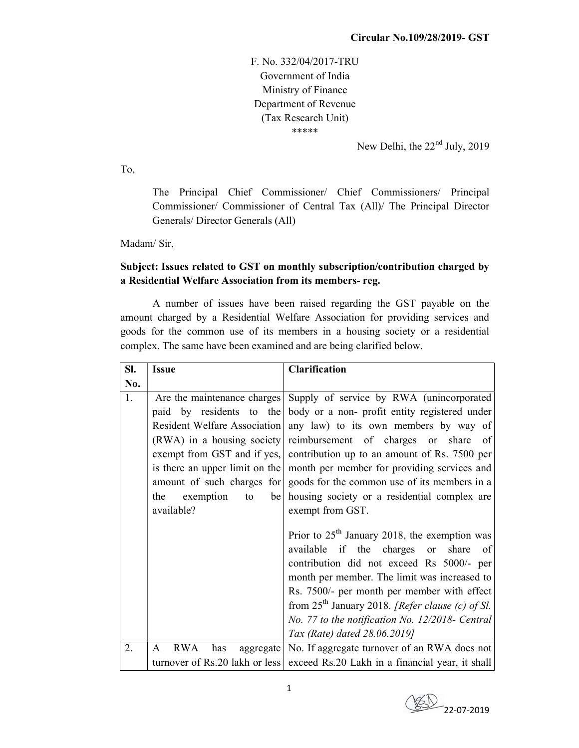F. No. 332/04/2017-TRU Government of India Ministry of Finance Department of Revenue (Tax Research Unit) \*\*\*\*\*

New Delhi, the  $22<sup>nd</sup>$  July, 2019

To,

The Principal Chief Commissioner/ Chief Commissioners/ Principal Commissioner/ Commissioner of Central Tax (All)/ The Principal Director Generals/ Director Generals (All)

Madam/ Sir,

## Subject: Issues related to GST on monthly subscription/contribution charged by a Residential Welfare Association from its members- reg.

 A number of issues have been raised regarding the GST payable on the amount charged by a Residential Welfare Association for providing services and goods for the common use of its members in a housing society or a residential complex. The same have been examined and are being clarified below.

| SI. | <b>Issue</b>                                                                                             | <b>Clarification</b>                                                                                                                                                                                                                                                                                                                                                                                                                                                                                                                                                                                                                                                                                                                                                                                                                                                                                                          |
|-----|----------------------------------------------------------------------------------------------------------|-------------------------------------------------------------------------------------------------------------------------------------------------------------------------------------------------------------------------------------------------------------------------------------------------------------------------------------------------------------------------------------------------------------------------------------------------------------------------------------------------------------------------------------------------------------------------------------------------------------------------------------------------------------------------------------------------------------------------------------------------------------------------------------------------------------------------------------------------------------------------------------------------------------------------------|
| No. |                                                                                                          |                                                                                                                                                                                                                                                                                                                                                                                                                                                                                                                                                                                                                                                                                                                                                                                                                                                                                                                               |
| 1.  | $(RWA)$ in a housing society<br>amount of such charges for<br>exemption<br>the<br>be<br>to<br>available? | Are the maintenance charges Supply of service by RWA (unincorporated<br>paid by residents to the body or a non-profit entity registered under<br>Resident Welfare Association any law) to its own members by way of<br>reimbursement of charges or share of<br>exempt from GST and if yes, contribution up to an amount of Rs. 7500 per<br>is there an upper limit on the month per member for providing services and<br>goods for the common use of its members in a<br>housing society or a residential complex are<br>exempt from GST.<br>Prior to $25th$ January 2018, the exemption was<br>available if the charges or share<br>-of<br>contribution did not exceed Rs 5000/- per<br>month per member. The limit was increased to<br>Rs. 7500/- per month per member with effect<br>from $25th$ January 2018. [Refer clause (c) of Sl.<br>No. 77 to the notification No. 12/2018- Central<br>Tax (Rate) dated 28.06.2019] |
| 2.  | <b>RWA</b><br>has<br>aggregate<br>A                                                                      | No. If aggregate turnover of an RWA does not                                                                                                                                                                                                                                                                                                                                                                                                                                                                                                                                                                                                                                                                                                                                                                                                                                                                                  |
|     |                                                                                                          | turnover of Rs.20 lakh or less exceed Rs.20 Lakh in a financial year, it shall                                                                                                                                                                                                                                                                                                                                                                                                                                                                                                                                                                                                                                                                                                                                                                                                                                                |

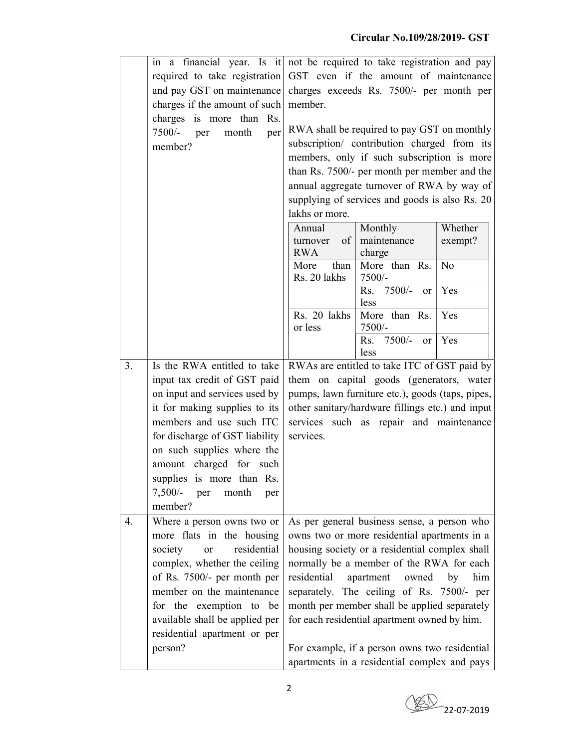|    | a financial year. Is it not be required to take registration and pay<br>in |                                                                                                                                                                                         |                                                  |         |
|----|----------------------------------------------------------------------------|-----------------------------------------------------------------------------------------------------------------------------------------------------------------------------------------|--------------------------------------------------|---------|
|    | required to take registration                                              |                                                                                                                                                                                         | GST even if the amount of maintenance            |         |
|    | and pay GST on maintenance                                                 |                                                                                                                                                                                         | charges exceeds Rs. 7500/- per month per         |         |
|    | charges if the amount of such                                              | member.                                                                                                                                                                                 |                                                  |         |
|    | charges is more than Rs.                                                   |                                                                                                                                                                                         |                                                  |         |
|    | $7500/-$<br>month<br>per<br>per                                            |                                                                                                                                                                                         | RWA shall be required to pay GST on monthly      |         |
|    | member?                                                                    |                                                                                                                                                                                         | subscription/ contribution charged from its      |         |
|    |                                                                            |                                                                                                                                                                                         | members, only if such subscription is more       |         |
|    |                                                                            |                                                                                                                                                                                         | than Rs. 7500/- per month per member and the     |         |
|    |                                                                            |                                                                                                                                                                                         | annual aggregate turnover of RWA by way of       |         |
|    |                                                                            |                                                                                                                                                                                         | supplying of services and goods is also Rs. 20   |         |
|    |                                                                            | lakhs or more.                                                                                                                                                                          |                                                  |         |
|    |                                                                            | Annual                                                                                                                                                                                  | Monthly                                          | Whether |
|    |                                                                            | of<br>turnover                                                                                                                                                                          | maintenance                                      | exempt? |
|    |                                                                            | <b>RWA</b>                                                                                                                                                                              | charge                                           |         |
|    |                                                                            | More                                                                                                                                                                                    | than $\vert$ More than Rs.                       | No      |
|    |                                                                            | Rs. 20 lakhs                                                                                                                                                                            | $7500/-$<br>Rs. 7500/-<br>$\alpha$               | Yes     |
|    |                                                                            |                                                                                                                                                                                         | less                                             |         |
|    |                                                                            | Rs. 20 lakhs<br>or less                                                                                                                                                                 | More than Rs.<br>7500/-                          | Yes     |
|    |                                                                            |                                                                                                                                                                                         | $7500/-$<br>Rs.<br>or l                          | Yes     |
|    |                                                                            |                                                                                                                                                                                         | less                                             |         |
| 3. | Is the RWA entitled to take                                                | RWAs are entitled to take ITC of GST paid by                                                                                                                                            |                                                  |         |
|    | input tax credit of GST paid                                               |                                                                                                                                                                                         | them on capital goods (generators, water         |         |
|    | on input and services used by                                              |                                                                                                                                                                                         | pumps, lawn furniture etc.), goods (taps, pipes, |         |
|    | it for making supplies to its                                              |                                                                                                                                                                                         | other sanitary/hardware fillings etc.) and input |         |
|    | members and use such ITC                                                   |                                                                                                                                                                                         | services such as repair and maintenance          |         |
|    | for discharge of GST liability                                             | services.                                                                                                                                                                               |                                                  |         |
|    | on such supplies where the                                                 |                                                                                                                                                                                         |                                                  |         |
|    | amount charged for such                                                    |                                                                                                                                                                                         |                                                  |         |
|    | supplies is more than Rs.                                                  |                                                                                                                                                                                         |                                                  |         |
|    | $7,500/-$ per<br>month                                                     |                                                                                                                                                                                         |                                                  |         |
|    | per<br>member?                                                             |                                                                                                                                                                                         |                                                  |         |
| 4. |                                                                            |                                                                                                                                                                                         | As per general business sense, a person who      |         |
|    | Where a person owns two or                                                 |                                                                                                                                                                                         |                                                  |         |
|    | more flats in the housing                                                  | owns two or more residential apartments in a<br>housing society or a residential complex shall                                                                                          |                                                  |         |
|    | residential<br>society<br>or                                               |                                                                                                                                                                                         |                                                  |         |
|    | complex, whether the ceiling                                               | normally be a member of the RWA for each<br>residential<br>apartment<br>him<br>owned<br>by<br>separately. The ceiling of Rs. 7500/- per<br>month per member shall be applied separately |                                                  |         |
|    | of Rs. 7500/- per month per                                                |                                                                                                                                                                                         |                                                  |         |
|    | member on the maintenance                                                  |                                                                                                                                                                                         |                                                  |         |
|    | for the exemption to be                                                    |                                                                                                                                                                                         |                                                  |         |
|    | available shall be applied per                                             |                                                                                                                                                                                         | for each residential apartment owned by him.     |         |
|    | residential apartment or per                                               |                                                                                                                                                                                         |                                                  |         |
|    | person?                                                                    |                                                                                                                                                                                         | For example, if a person owns two residential    |         |
|    |                                                                            |                                                                                                                                                                                         | apartments in a residential complex and pays     |         |